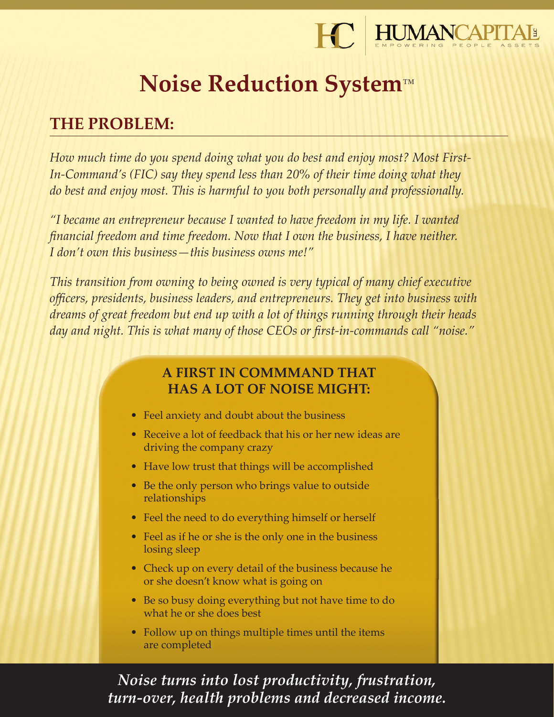

# **Noise Reduction System**™

## **THE PROBLEM:**

*How much time do you spend doing what you do best and enjoy most? Most First-In-Command's (FIC) say they spend less than 20% of their time doing what they do best and enjoy most. This is harmful to you both personally and professionally.*

*"I became an entrepreneur because I wanted to have freedom in my life. I wanted financial freedom and time freedom. Now that I own the business, I have neither. I don't own this business—this business owns me!"*

*This transition from owning to being owned is very typical of many chief executive officers, presidents, business leaders, and entrepreneurs. They get into business with dreams of great freedom but end up with a lot of things running through their heads day and night. This is what many of those CEOs or first-in-commands call "noise."*

## **A FIRST IN COMMMAND THAT HAS A LOT OF NOISE MIGHT:**

- Feel anxiety and doubt about the business
- Receive a lot of feedback that his or her new ideas are driving the company crazy
- Have low trust that things will be accomplished
- Be the only person who brings value to outside relationships
- Feel the need to do everything himself or herself
- Feel as if he or she is the only one in the business losing sleep
- Check up on every detail of the business because he or she doesn't know what is going on
- Be so busy doing everything but not have time to do what he or she does best
- Follow up on things multiple times until the items are completed

*Noise turns into lost productivity, frustration, turn-over, health problems and decreased income.*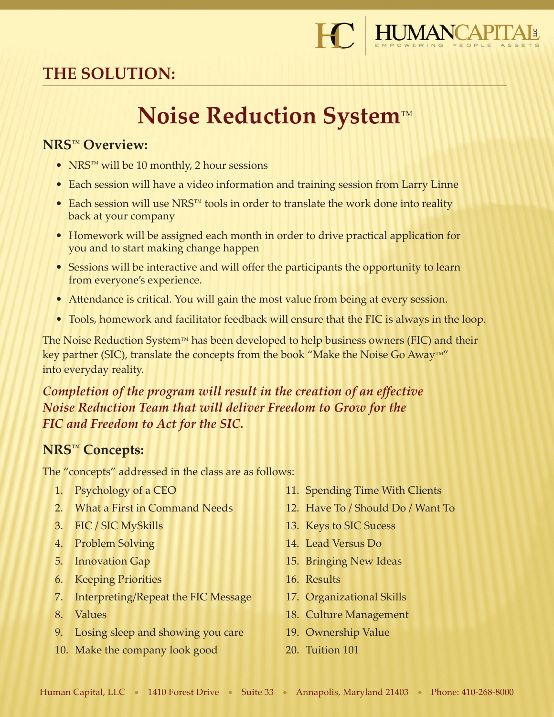

# **THE SOLUTION:**

# **Noise Reduction System**™

### **NRS™ Overview:**

- NRS<sup>™</sup> will be 10 monthly, 2 hour sessions
- Each session will have a video information and training session from Larry Linne
- Each session will use NRS™ tools in order to translate the work done into reality back at your company
- Homework will be assigned each month in order to drive practical application for you and to start making change happen
- Sessions will be interactive and will offer the participants the opportunity to learn from everyone's experience.
- Attendance is critical. You will gain the most value from being at every session.
- Tools, homework and facilitator feedback will ensure that the FIC is always in the loop.

The Noise Reduction System™ has been developed to help business owners (FIC) and their key partner (SIC), translate the concepts from the book "Make the Noise Go Away™" into everyday reality.

## *Completion of the program will result in the creation of an effective Noise Reduction Team that will deliver Freedom to Grow for the FIC and Freedom to Act for the SIC.*

## **NRS™ Concepts:**

The "concepts" addressed in the class are as follows:

- 1. Psychology of a CEO
- 2. What a First in Command Needs
- 3. FIC / SIC MySkills
- 4. Problem Solving
- 5. Innovation Gap
- 6. Keeping Priorities
- 7. Interpreting/Repeat the FIC Message
- 8. Values
- 9. Losing sleep and showing you care
- 10. Make the company look good
- 11. Spending Time With Clients
- 12. Have To / Should Do / Want To
- 13. Keys to SIC Sucess
- 14. Lead Versus Do
- 15. Bringing New Ideas
- 16. Results
- 17. Organizational Skills
- 18. Culture Management
- 19. Ownership Value
- 20. Tuition 101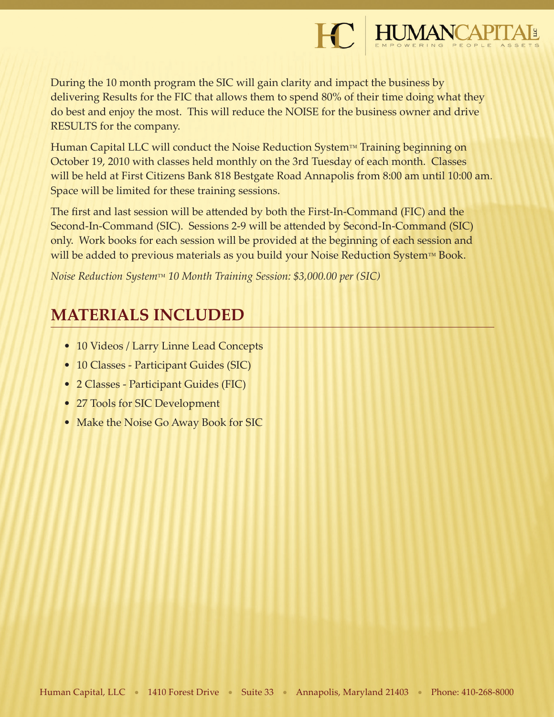

During the 10 month program the SIC will gain clarity and impact the business by delivering Results for the FIC that allows them to spend 80% of their time doing what they do best and enjoy the most. This will reduce the NOISE for the business owner and drive RESULTS for the company.

Human Capital LLC will conduct the Noise Reduction System™ Training beginning on October 19, 2010 with classes held monthly on the 3rd Tuesday of each month. Classes will be held at First Citizens Bank 818 Bestgate Road Annapolis from 8:00 am until 10:00 am. Space will be limited for these training sessions.

The first and last session will be attended by both the First-In-Command (FIC) and the Second-In-Command (SIC). Sessions 2-9 will be attended by Second-In-Command (SIC) only. Work books for each session will be provided at the beginning of each session and will be added to previous materials as you build your Noise Reduction System™ Book.

*Noise Reduction System*™ *10 Month Training Session: \$3,000.00 per (SIC)* 

## **MATERIALS INCLUDED**

- 10 Videos / Larry Linne Lead Concepts
- 10 Classes Participant Guides (SIC)
- 2 Classes Participant Guides (FIC)
- 27 Tools for SIC Development
- Make the Noise Go Away Book for SIC